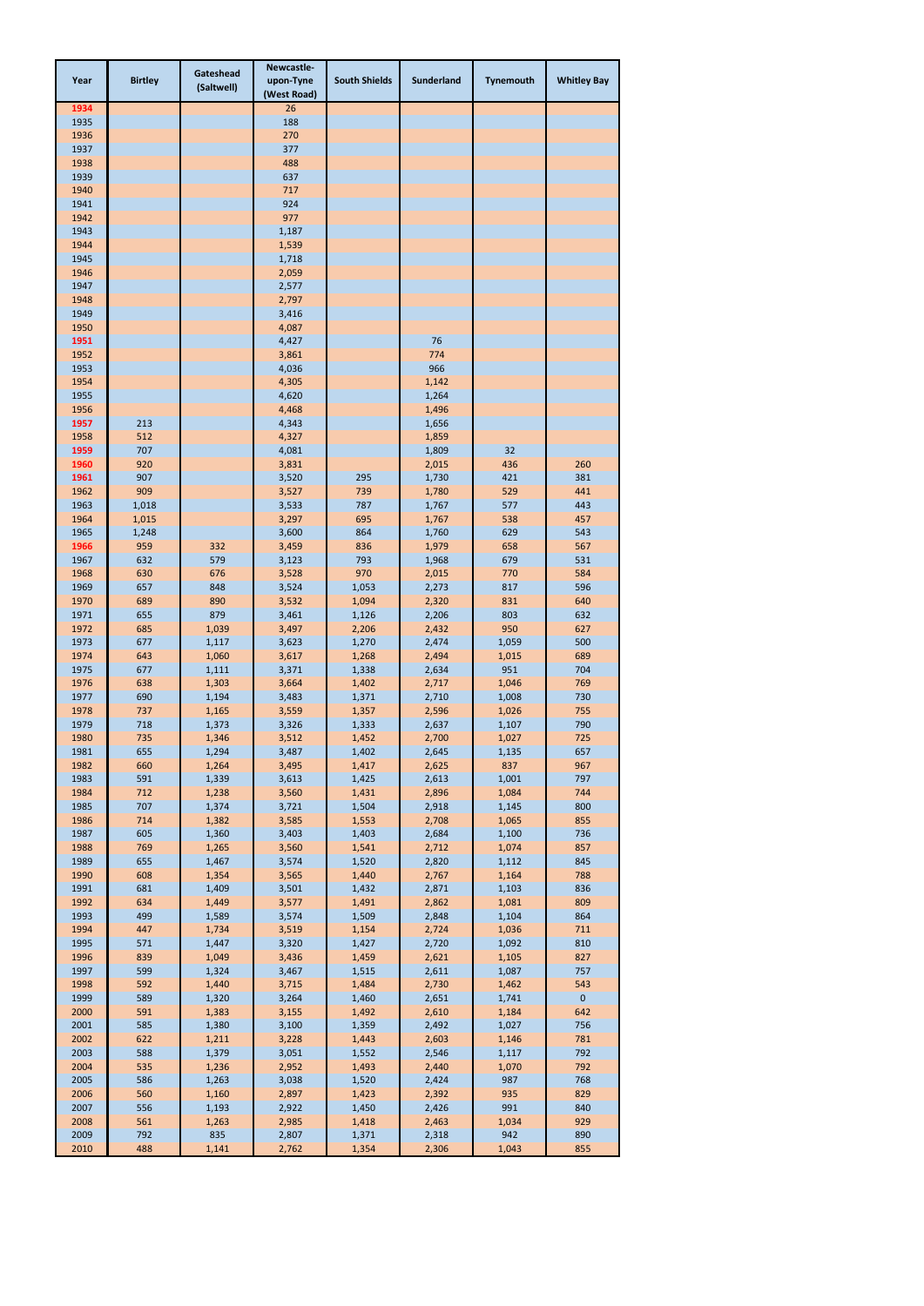| Year         | <b>Birtley</b> | Gateshead<br>(Saltwell) | Newcastle-<br>upon-Tyne<br>(West Road) | <b>South Shields</b> | <b>Sunderland</b> | Tynemouth      | <b>Whitley Bay</b>  |
|--------------|----------------|-------------------------|----------------------------------------|----------------------|-------------------|----------------|---------------------|
| 1934         |                |                         | 26                                     |                      |                   |                |                     |
| 1935         |                |                         | 188                                    |                      |                   |                |                     |
| 1936<br>1937 |                |                         | 270<br>377                             |                      |                   |                |                     |
| 1938         |                |                         | 488                                    |                      |                   |                |                     |
| 1939         |                |                         | 637                                    |                      |                   |                |                     |
| 1940         |                |                         | 717                                    |                      |                   |                |                     |
| 1941         |                |                         | 924                                    |                      |                   |                |                     |
| 1942         |                |                         | 977                                    |                      |                   |                |                     |
| 1943<br>1944 |                |                         | 1,187<br>1,539                         |                      |                   |                |                     |
| 1945         |                |                         | 1,718                                  |                      |                   |                |                     |
| 1946         |                |                         | 2,059                                  |                      |                   |                |                     |
| 1947         |                |                         | 2,577                                  |                      |                   |                |                     |
| 1948         |                |                         | 2,797                                  |                      |                   |                |                     |
| 1949<br>1950 |                |                         | 3,416<br>4,087                         |                      |                   |                |                     |
| 1951         |                |                         | 4,427                                  |                      | 76                |                |                     |
| 1952         |                |                         | 3,861                                  |                      | 774               |                |                     |
| 1953         |                |                         | 4,036                                  |                      | 966               |                |                     |
| 1954         |                |                         | 4,305                                  |                      | 1,142             |                |                     |
| 1955         |                |                         | 4,620                                  |                      | 1,264             |                |                     |
| 1956         |                |                         | 4,468                                  |                      | 1,496             |                |                     |
| 1957<br>1958 | 213<br>512     |                         | 4,343<br>4,327                         |                      | 1,656<br>1,859    |                |                     |
| 1959         | 707            |                         | 4,081                                  |                      | 1,809             | 32             |                     |
| 1960         | 920            |                         | 3,831                                  |                      | 2,015             | 436            | 260                 |
| 1961         | 907            |                         | 3,520                                  | 295                  | 1,730             | 421            | 381                 |
| 1962         | 909            |                         | 3,527                                  | 739                  | 1,780             | 529            | 441                 |
| 1963         | 1,018          |                         | 3,533                                  | 787                  | 1,767             | 577            | 443                 |
| 1964<br>1965 | 1,015<br>1,248 |                         | 3,297<br>3,600                         | 695<br>864           | 1,767<br>1,760    | 538<br>629     | 457<br>543          |
| 1966         | 959            | 332                     | 3,459                                  | 836                  | 1,979             | 658            | 567                 |
| 1967         | 632            | 579                     | 3,123                                  | 793                  | 1,968             | 679            | 531                 |
| 1968         | 630            | 676                     | 3,528                                  | 970                  | 2,015             | 770            | 584                 |
| 1969         | 657            | 848                     | 3,524                                  | 1,053                | 2,273             | 817            | 596                 |
| 1970         | 689            | 890                     | 3,532                                  | 1,094                | 2,320             | 831            | 640                 |
| 1971<br>1972 | 655<br>685     | 879<br>1,039            | 3,461<br>3,497                         | 1,126<br>2,206       | 2,206<br>2,432    | 803<br>950     | 632<br>627          |
| 1973         | 677            | 1,117                   | 3,623                                  | 1,270                | 2,474             | 1,059          | 500                 |
| 1974         | 643            | 1,060                   | 3,617                                  | 1,268                | 2,494             | 1,015          | 689                 |
| 1975         | 677            | 1,111                   | 3,371                                  | 1,338                | 2,634             | 951            | 704                 |
| 1976         | 638            | 1,303                   | 3,664                                  | 1,402                | 2,717             | 1,046          | 769                 |
| 1977         | 690            | 1,194                   | 3,483                                  | 1,371                | 2,710             | 1,008          | 730                 |
| 1978<br>1979 | 737<br>718     | 1,165<br>1,373          | 3,559<br>3,326                         | 1,357<br>1,333       | 2,596<br>2,637    | 1,026<br>1,107 | 755<br>790          |
| 1980         | 735            | 1,346                   | 3,512                                  | 1,452                | 2,700             | 1,027          | 725                 |
| 1981         | 655            | 1,294                   | 3,487                                  | 1,402                | 2,645             | 1,135          | 657                 |
| 1982         | 660            | 1,264                   | 3,495                                  | 1,417                | 2,625             | 837            | 967                 |
| 1983         | 591            | 1,339                   | 3,613                                  | 1,425                | 2,613             | 1,001          | 797                 |
| 1984         | 712            | 1,238                   | 3,560                                  | 1,431                | 2,896             | 1,084          | 744                 |
| 1985<br>1986 | 707<br>714     | 1,374<br>1,382          | 3,721<br>3,585                         | 1,504<br>1,553       | 2,918<br>2,708    | 1,145<br>1,065 | 800<br>855          |
| 1987         | 605            | 1,360                   | 3,403                                  | 1,403                | 2,684             | 1,100          | 736                 |
| 1988         | 769            | 1,265                   | 3,560                                  | 1,541                | 2,712             | 1,074          | 857                 |
| 1989         | 655            | 1,467                   | 3,574                                  | 1,520                | 2,820             | 1,112          | 845                 |
| 1990         | 608            | 1,354                   | 3,565                                  | 1,440                | 2,767             | 1,164          | 788                 |
| 1991<br>1992 | 681<br>634     | 1,409<br>1,449          | 3,501<br>3,577                         | 1,432<br>1,491       | 2,871<br>2,862    | 1,103<br>1,081 | 836<br>809          |
| 1993         | 499            | 1,589                   | 3,574                                  | 1,509                | 2,848             | 1,104          | 864                 |
| 1994         | 447            | 1,734                   | 3,519                                  | 1,154                | 2,724             | 1,036          | 711                 |
| 1995         | 571            | 1,447                   | 3,320                                  | 1,427                | 2,720             | 1,092          | 810                 |
| 1996         | 839            | 1,049                   | 3,436                                  | 1,459                | 2,621             | 1,105          | 827                 |
| 1997         | 599            | 1,324                   | 3,467                                  | 1,515                | 2,611             | 1,087          | 757                 |
| 1998<br>1999 | 592<br>589     | 1,440                   | 3,715                                  | 1,484<br>1,460       | 2,730             | 1,462<br>1,741 | 543<br>$\mathbf{0}$ |
| 2000         | 591            | 1,320<br>1,383          | 3,264<br>3,155                         | 1,492                | 2,651<br>2,610    | 1,184          | 642                 |
| 2001         | 585            | 1,380                   | 3,100                                  | 1,359                | 2,492             | 1,027          | 756                 |
| 2002         | 622            | 1,211                   | 3,228                                  | 1,443                | 2,603             | 1,146          | 781                 |
| 2003         | 588            | 1,379                   | 3,051                                  | 1,552                | 2,546             | 1,117          | 792                 |
| 2004         | 535            | 1,236                   | 2,952                                  | 1,493                | 2,440             | 1,070          | 792                 |
| 2005         | 586            | 1,263                   | 3,038                                  | 1,520                | 2,424             | 987            | 768                 |
| 2006<br>2007 | 560<br>556     | 1,160<br>1,193          | 2,897<br>2,922                         | 1,423<br>1,450       | 2,392<br>2,426    | 935<br>991     | 829<br>840          |
| 2008         | 561            | 1,263                   | 2,985                                  | 1,418                | 2,463             | 1,034          | 929                 |
| 2009         | 792            | 835                     | 2,807                                  | 1,371                | 2,318             | 942            | 890                 |
| 2010         | 488            | 1,141                   | 2,762                                  | 1,354                | 2,306             | 1,043          | 855                 |